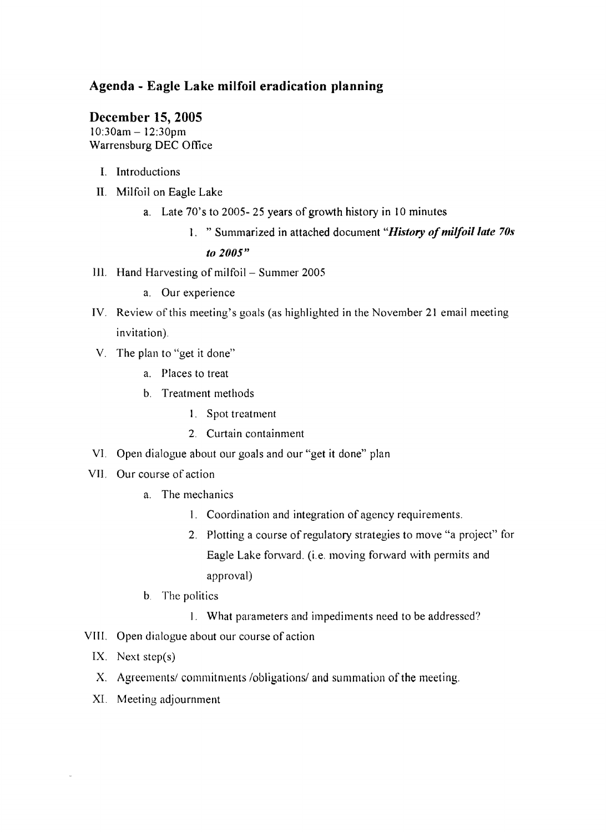# **Agenda - Eagle Lake milfoil eradication planning**

### **December 15, 2005**

10:30am - 12:30pm Warrensburg DEC Office

- I. Introductions
- II. Milfoil on Eagle Lake
	- a. Late 70's to 2005- 25 years of growth history in 10 minutes
		- 1. " Summarized in attached document "History of milfoil late 70s

### *to 1005"*

- III. Hand Harvesting of milfoil Summer 2005
	- a. Our experience
- IV. Review of this meeting's goals (as highlighted in the November 21 email meeting invitation).
- V. The plan to "get it done"
	- a. Places to treat
	- b. Treatment methods
		- 1. Spot treatment
		- 2. Curtain containment
- VI. Open dialogue about our goals and our "get it done" plan
- VII. Our course of action
	- a. The mechanics
		- 1. Coordination and integration of agency requirements.
		- 2. Plotting a course of regulatory strategies to move "a project" for Eagle Lake forward. (i.e. moving forward with permits and approval)
	- b. The politics
		- 1. What parameters and impediments need to be addressed?
- VIII. Open dialogue about our course of action
	- IX. Next step $(s)$
	- X. Agreements/commitments/obligations/ and summation of the meeting.
	- XI. Meeting adjournment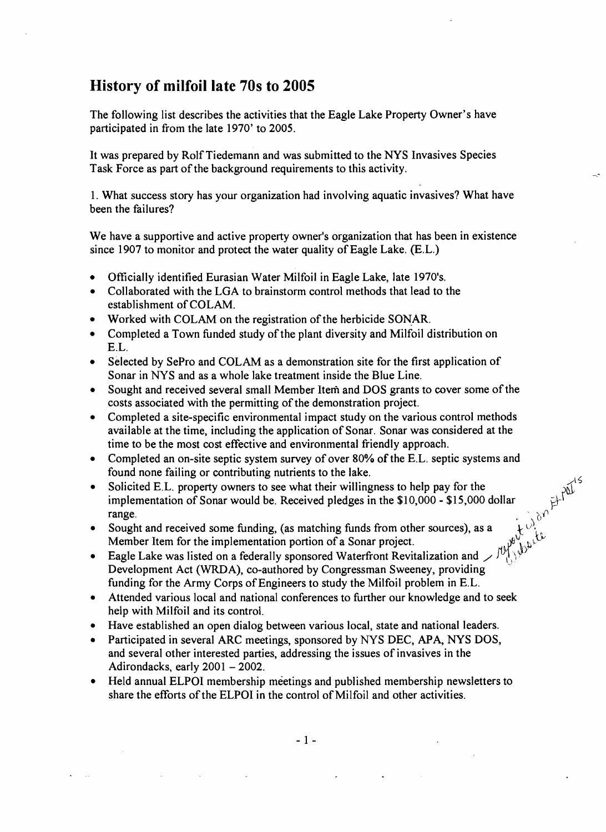# **History of milfoillate 70s to 2005**

The following list describes the activities that the Eagle Lake Property Owner's have participated in from the late 1970' to 2005.

It was prepared by Rolf Tiedemann and was submitted to the NYS Invasives Species Task Force as part of the background requirements to this activity.

1. What success story has your organization had involving aquatic invasives? What have been the failures?

We have a supportive and active property owner's organization that has been in existence since 1907 to monitor and protect the water quality of Eagle Lake. (E.L.)

- Officially identified Eurasian Water Milfoil in Eagle Lake, late 1970's.
- Collaborated with the LGA to brainstorm control methods that lead to the establishment of COLAM.
- Worked with COLAM on the registration of the herbicide SONAR.
- Completed a Town funded study of the plant diversity and Milfoil distribution on E.L.
- Selected by SePro and COLAM as a demonstration site for the first application of Sonar in NYS and as a whole lake treatment inside the Blue Line.
- Sought and received several small Member Item and DOS grants to cover some of the costs associated with the permitting of the demonstration project.
- Completed a site-specific environmental impact study on the various control methods available at the time, including the application of Sonar. Sonar was considered at the time to be the most cost effective and environmental friendly approach.
- Completed an on-site septic system survey of over 80% of the E.L. septic systems and found none failing or contributing nutrients to the lake.

/.1'5

 $b_{\mathcal{P}_{\mathcal{P}_{\mathcal{P}}}}$ 

- Solicited E.L. property owners to see what their willingness to help pay for the implementation of Sonar would be. Received pledges in the  $$10,000 - $15,000$  dollar **for ange.** The set of the set of the set of the set of the set of the set of the set of the set of the set of the set of the set of the set of the set of the set of the set of the set of the set of the set of the set of • Solicited E.L. property owners to see what their willingness to help pay for the implementation of Sonar would be. Received pledges in the \$10,000 - \$15,000 dollar range.<br>• Sought and received some funding, (as matching
- Sought and received some funding, (as matching funds from other sources), as a Member Item for the implementation portion of a Sonar project.
- Development Act (WRDA), co-authored by Congressman Sweeney, providing , funding for the Army Corps of Engineers to study the Milfoil problem in E.L.
- Attended various local and national conferences to further our knowledge and to seek help with Milfoil and its control.
- Have established an open dialog between various local, state and national leaders.
- Participated in several ARC meetings, sponsored by NYS DEC, APA, NYS DOS, and several other interested parties, addressing the issues of invasives in the Adirondacks, early 2001 - 2002.
- Held annual ELPOI membership meetings and published membership newsletters to share the efforts of the ELPOI in the control of Milfoil and other activities.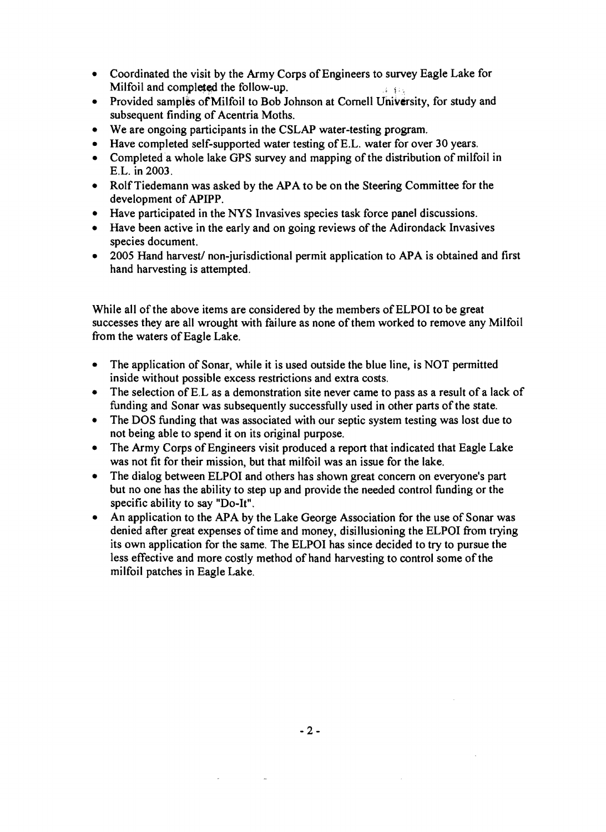- Coordinated the visit by the Army Corps of Engineers to survey Eagle Lake for Milfoil and completed the follow-up.  $\qquad \qquad \qquad \qquad \qquad$
- Provided samples of Milfoil to Bob Johnson at Cornell University, for study and subsequent finding of Acentria Moths.
- We are ongoing participants in the CSLAP water-testing program.
- Have completed self-supported water testing of E.L. water for over 30 years.
- Completed a whole lake GPS survey and mapping of the distribution of milfoil in E.L. in 2003.
- Rolf Tiedemann was asked by the APA to be on the Steering Committee for the development of APIPP.
- Have participated in the NYS Invasives species task force panel discussions.
- Have been active in the early and on going reviews of the Adirondack Invasives species document.
- 2005 Hand harvest/ non-jurisdictional permit application to APA is obtained and first hand harvesting is attempted.

While all of the above items are considered by the members of ELPOI to be great successes they are all wrought with failure as none of them worked to remove any Milfoil from the waters of Eagle Lake.

- The application of Sonar, while it is used outside the blue line, is NOT permitted inside without possible excess restrictions and extra costs.
- The selection of E.L as a demonstration site never came to pass as a result of a lack of funding and Sonar was subsequently successfully used in other parts of the state.
- The DOS funding that was associated with our septic system testing was lost due to not being able to spend it on its original purpose.
- The Army Corps of Engineers visit produced a report that indicated that Eagle Lake was not fit for their mission, but that milfoil was an issue for the lake.
- The dialog between ELPOI and others has shown great concern on everyone's part but no one has the ability to step up and provide the needed control funding or the specific ability to say "Do-It".
- An application to the APA by the Lake George Association for the use of Sonar was denied after great expenses of time and money, disillusioning the ELPOI from trying its own application for the same. The ELPOI has since decided to try to pursue the less effective and more costly method of hand harvesting to control some ofthe milfoil patches in Eagle Lake.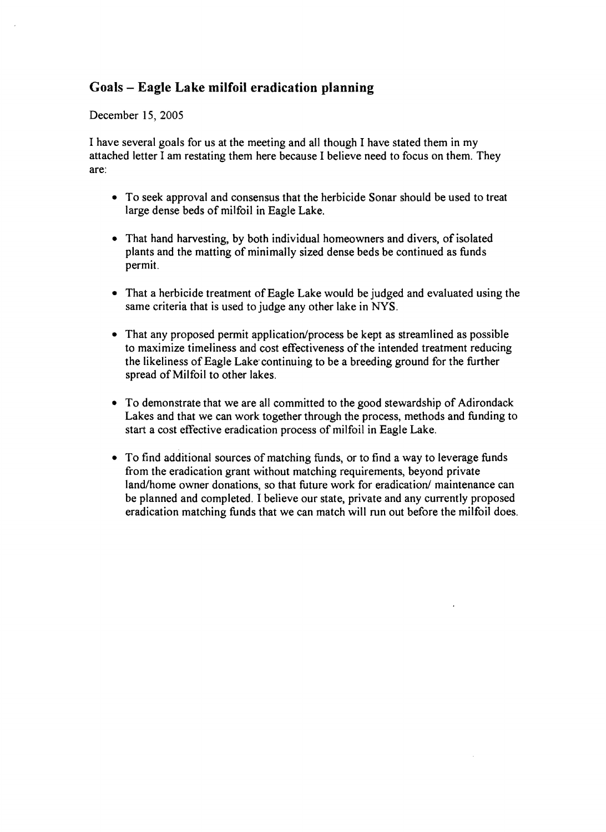# Goals - Eagle La ke milfoil eradication planning

#### December 15, 2005

I have several goals for us at the meeting and all though I have stated them in my attached letter I am restating them here because I believe need to focus on them. They are:

- To seek approval and consensus that the herbicide Sonar should be used to treat large dense beds of milfoil in Eagle Lake.
- That hand harvesting, by both individual homeowners and divers, of isolated plants and the matting of minimally sized dense beds be continued as funds permit.
- That a herbicide treatment of Eagle Lake would be judged and evaluated using the same criteria that is used to judge any other lake in NYS.
- That any proposed permit application/process be kept as streamlined as possible to maximize timeliness and cost effectiveness of the intended treatment reducing the likeliness of Eagle Lake continuing to be a breeding ground for the further spread of Milfoil to other lakes.
- To demonstrate that we are all committed to the good stewardship of Adirondack Lakes and that we can work together through the process, methods and funding to start a cost effective eradication process of milfoil in Eagle Lake.
- To find additional sources of matching funds, or to find a way to leverage funds from the eradication grant without matching requirements, beyond private land/home owner donations, so that future work for eradication/ maintenance can be planned and completed. I believe our state, private and any currently proposed eradication matching funds that we can match will run out before the milfoil does.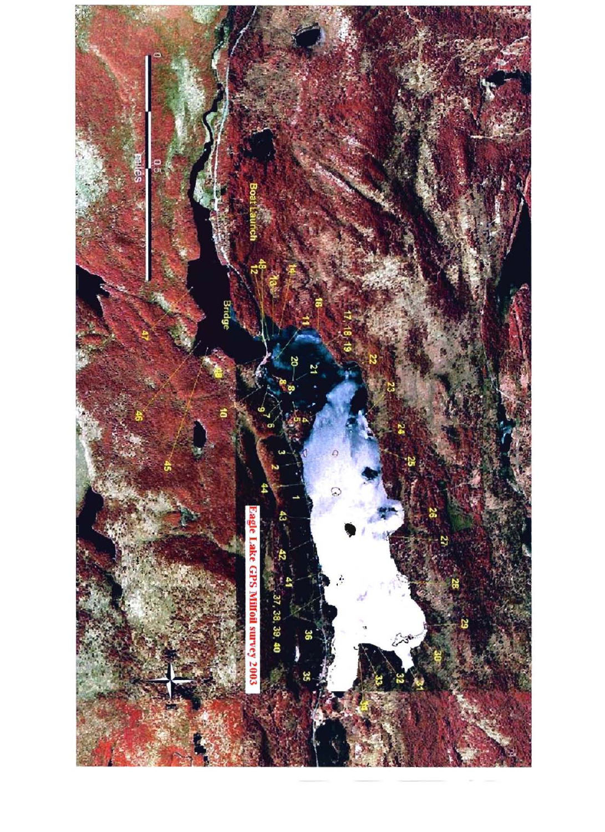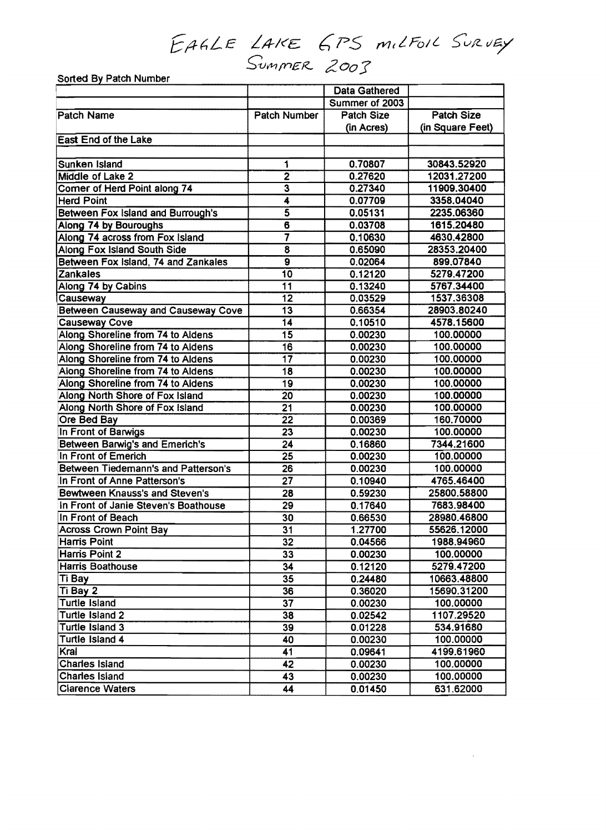# EALLE LAKE GPS milFoil Survey S;':;Jr1-1 *me*f<- tZ*00:J*

| Sorted By Patch Number                   |                         |                      |                   |
|------------------------------------------|-------------------------|----------------------|-------------------|
|                                          |                         | <b>Data Gathered</b> |                   |
|                                          |                         | Summer of 2003       |                   |
| <b>Patch Name</b>                        | Patch Number            | <b>Patch Size</b>    | <b>Patch Size</b> |
|                                          |                         | (in Acres)           | (in Square Feet)  |
| <b>East End of the Lake</b>              |                         |                      |                   |
|                                          |                         |                      |                   |
| Sunken Island                            | 1                       | 0.70807              | 30843.52920       |
| Middle of Lake 2                         | $\overline{2}$          | 0.27620              | 12031.27200       |
| Corner of Herd Point along 74            | 3                       | 0.27340              | 11909.30400       |
| <b>Herd Point</b>                        | 4                       | 0.07709              | 3358.04040        |
| <b>Between Fox Island and Burrough's</b> | 5                       | 0.05131              | 2235.06360        |
| Along 74 by Bouroughs                    | $\overline{\bf{6}}$     | 0.03708              | 1615.20480        |
| Along 74 across from Fox Island          | 7                       | 0.10630              | 4630.42800        |
| Along Fox Island South Side              | $\overline{\mathbf{8}}$ | 0.65090              | 28353.20400       |
| Between Fox Island, 74 and Zankales      | $\overline{9}$          | 0.02064              | 899.07840         |
| Zankales                                 | 10                      | 0.12120              | 5279.47200        |
| Along 74 by Cabins                       | $\overline{11}$         | 0.13240              | 5767.34400        |
| Causeway                                 | $\overline{12}$         | 0.03529              | 1537.36308        |
| Between Causeway and Causeway Cove       | 13                      | 0.66354              | 28903.80240       |
| <b>Causeway Cove</b>                     | 14                      | 0.10510              | 4578.15600        |
| Along Shoreline from 74 to Aldens        | 15                      | 0.00230              | 100.00000         |
| Along Shoreline from 74 to Aldens        | 16                      | 0.00230              | 100.00000         |
| Along Shoreline from 74 to Aldens        | $\overline{17}$         | 0.00230              | 100.00000         |
| Along Shoreline from 74 to Aldens        | 18                      | 0.00230              | 100.00000         |
| Along Shoreline from 74 to Aldens        | 19                      | 0.00230              | 100.00000         |
| Along North Shore of Fox Island          | 20                      | 0.00230              | 100.00000         |
| Along North Shore of Fox Island          | 21                      | 0.00230              | 100.00000         |
| Ore Bed Bay                              | 22                      | 0.00369              | 160.70000         |
| In Front of Barwigs                      | 23                      | 0.00230              | 100.00000         |
| <b>Between Barwig's and Emerich's</b>    | 24                      | 0.16860              | 7344.21600        |
| In Front of Emerich                      | 25                      | 0.00230              | 100.00000         |
| Between Tiedemann's and Patterson's      | 26                      | 0.00230              | 100.00000         |
| In Front of Anne Patterson's             | 27                      | 0.10940              | 4765.46400        |
| <b>Bewtween Knauss's and Steven's</b>    | 28                      | 0.59230              | 25800.58800       |
| In Front of Janie Steven's Boathouse     | 29                      | 0.17640              | 7683.98400        |
| In Front of Beach                        | $\overline{30}$         | 0.66530              | 28980.46800       |
| <b>Across Crown Point Bay</b>            | 31                      | 1.27700              | 55626.12000       |
| Harris Point                             | 32                      | 0.04566              | 1988.94960        |
| Harris Point 2                           | 33                      | 0.00230              | 100.00000         |
| <b>Harris Boathouse</b>                  | 34                      | 0.12120              | 5279.47200        |
| <b>Ti Bay</b>                            | 35                      | 0.24480              | 10663.48800       |
| Ti Bay 2                                 | 36                      | 0.36020              | 15690.31200       |
| Turtle Island                            | 37                      | 0.00230              | 100.00000         |
| Turtle Island 2                          | 38                      | 0.02542              | 1107.29520        |
| Turtle Island 3                          | 39                      | 0.01228              | 534.91680         |
| Turtle Island 4                          | 40                      | 0.00230              | 100.00000         |
| Kral                                     | 41                      | 0.09641              | 4199.61960        |
| <b>Charles Island</b>                    | 42                      | 0.00230              | 100.00000         |
| <b>Charles Island</b>                    | 43                      | 0.00230              | 100.00000         |
| <b>Clarence Waters</b>                   | 44                      | 0.01450              | 631.62000         |

 $\bar{\phantom{a}}$